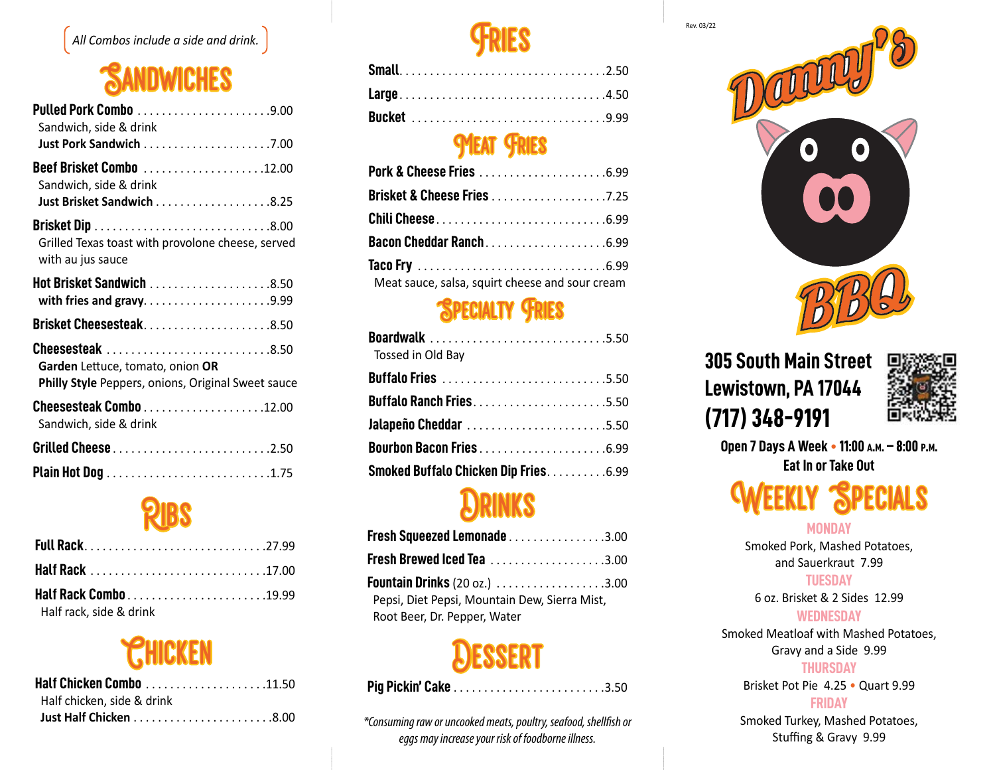

### **SANDWICHES**

| Sandwich, side & drink                                                                                     |
|------------------------------------------------------------------------------------------------------------|
| Sandwich, side & drink<br>Just Brisket Sandwich 8.25                                                       |
| Grilled Texas toast with provolone cheese, served<br>with au jus sauce                                     |
| Hot Brisket Sandwich 8.50                                                                                  |
|                                                                                                            |
| Cheesesteak 8.50<br>Garden Lettuce, tomato, onion OR<br>Philly Style Peppers, onions, Original Sweet sauce |
| Sandwich, side & drink                                                                                     |
|                                                                                                            |
|                                                                                                            |

## Ribs

| Half rack, side & drink |  |
|-------------------------|--|

# **CHICKEN**

| Half chicken, side & drink |  |
|----------------------------|--|
|                            |  |



| Large4.50          |  |  |  |  |  |  |  |  |  |  |  |  |  |  |  |  |
|--------------------|--|--|--|--|--|--|--|--|--|--|--|--|--|--|--|--|
| <b>Bucket</b> 9.99 |  |  |  |  |  |  |  |  |  |  |  |  |  |  |  |  |

### *MEAT FRIES*

| Brisket & Cheese Fries 7.25                     |  |
|-------------------------------------------------|--|
|                                                 |  |
| Bacon Cheddar Ranch6.99                         |  |
|                                                 |  |
| Meat sauce, salsa, squirt cheese and sour cream |  |

### Specialty Fries

| Boardwalk 5.50<br>Tossed in Old Bay         |  |
|---------------------------------------------|--|
|                                             |  |
| <b>Buffalo Ranch Fries5.50</b>              |  |
| Jalapeño Cheddar 5.50                       |  |
| Bourbon Bacon Fries6.99                     |  |
| <b>Smoked Buffalo Chicken Dip Fries6.99</b> |  |

### **DRINKS**

| Fresh Squeezed Lemonade 3.00                                                  |  |
|-------------------------------------------------------------------------------|--|
| <b>Fresh Brewed Iced Tea</b> 3.00                                             |  |
| Pepsi, Diet Pepsi, Mountain Dew, Sierra Mist,<br>Root Beer, Dr. Pepper, Water |  |

### **DESSERT**

|--|--|--|--|--|--|--|--|--|--|--|--|--|--|--|--|--|--|--|--|--|--|--|--|--|--|--|--|--|--|

*\*Consuming raw or uncooked meats, poultry, seafood, shellfish or eggs may increase your risk of foodborne illness.*



### **305 South Main Street Lewistown, PA 17044 (717) 348-9191**



**Open 7 Days A Week • 11:00 a.m. – 8:00 p.m. Eat In or Take Out**

# **SPECIALS**

#### **MONDAY**

Smoked Pork, Mashed Potatoes, and Sauerkraut 7.99

#### **TUESDAY**

6 oz. Brisket & 2 Sides 12.99

#### **WEDNESDAY**

Smoked Meatloaf with Mashed Potatoes, Gravy and a Side 9.99

#### **THURSDAY**

Brisket Pot Pie 4.25 • Quart 9.99

#### **FRIDAY**

Smoked Turkey, Mashed Potatoes, Stuffing & Gravy 9.99